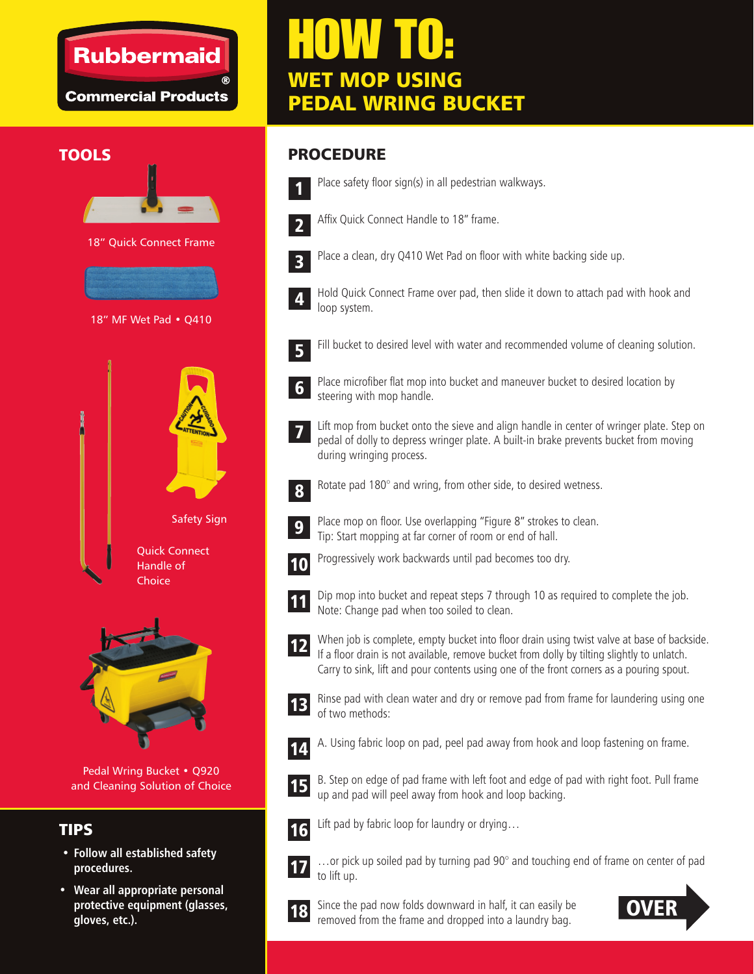## **Rubbermaid**

**Commercial Products** 





**Choice** 

Pedal Wring Bucket • Q920 and Cleaning Solution of Choice

## TIPS

- **Follow all established safety procedures.**
- **Wear all appropriate personal protective equipment (glasses, gloves, etc.).**

# HOW TO: WET MOP USING PEDAL WRING BUCKET

### TOOLS ROCEDURE



Affix Quick Connect Handle to 18" frame.

Place safety floor sign(s) in all pedestrian walkways.



Place a clean, dry Q410 Wet Pad on floor with white backing side up.

Hold Quick Connect Frame over pad, then slide it down to attach pad with hook and loop system.



Fill bucket to desired level with water and recommended volume of cleaning solution.



Place microfiber flat mop into bucket and maneuver bucket to desired location by steering with mop handle.

Lift mop from bucket onto the sieve and align handle in center of wringer plate. Step on pedal of dolly to depress wringer plate. A built-in brake prevents bucket from moving during wringing process. 7



Rotate pad 180° and wring, from other side, to desired wetness.



Place mop on floor. Use overlapping "Figure 8" strokes to clean. Tip: Start mopping at far corner of room or end of hall.



Progressively work backwards until pad becomes too dry.



Dip mop into bucket and repeat steps 7 through 10 as required to complete the job. Note: Change pad when too soiled to clean.



When job is complete, empty bucket into floor drain using twist valve at base of backside. If a floor drain is not available, remove bucket from dolly by tilting slightly to unlatch. Carry to sink, lift and pour contents using one of the front corners as a pouring spout.



Rinse pad with clean water and dry or remove pad from frame for laundering using one of two methods:



A. Using fabric loop on pad, peel pad away from hook and loop fastening on frame.



B. Step on edge of pad frame with left foot and edge of pad with right foot. Pull frame up and pad will peel away from hook and loop backing.



Lift pad by fabric loop for laundry or drying…



…or pick up soiled pad by turning pad 90° and touching end of frame on center of pad



to lift up.

Since the pad now folds downward in half, it can easily be removed from the frame and dropped into a laundry bag.